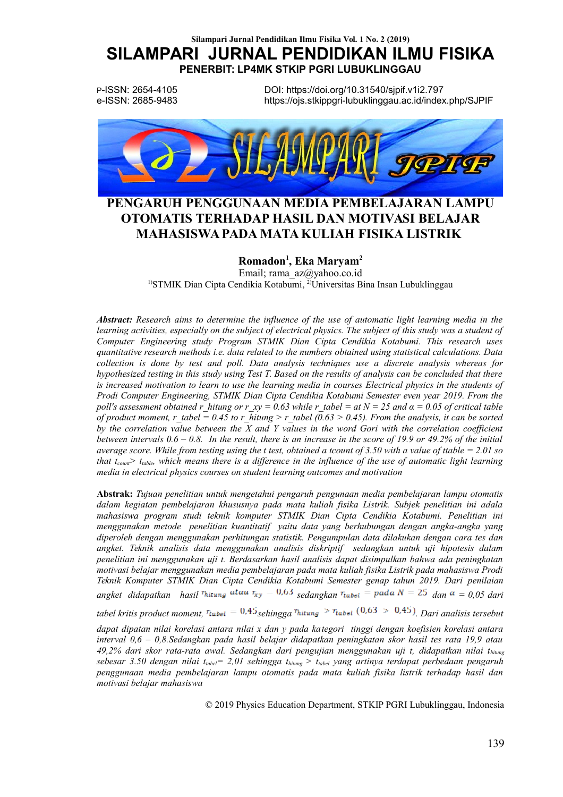P-ISSN: 2654-4105 e-ISSN: 2685-9483

DOI: https://doi.org/10.31540/sipif.v1i2.797 https://ois.stkippari-lubuklinggau.ac.id/index.php/SJPIF



# PENGARUH PENGGUNAAN MEDIA PEMBELAJARAN LAMPU OTOMATIS TERHADAP HASIL DAN MOTIVASI BELAJAR MAHASISWA PADA MATA KULIAH FISIKA LISTRIK

### Romadon<sup>1</sup>, Eka Maryam<sup>2</sup>

Email; rama  $az@$ yahoo.co.id <sup>1)</sup>STMIK Dian Cipta Cendikia Kotabumi, <sup>2)</sup>Universitas Bina Insan Lubuklinggau

**Abstract:** Research aims to determine the influence of the use of automatic light learning media in the learning activities, especially on the subject of electrical physics. The subject of this study was a student of Computer Engineering study Program STMIK Dian Cipta Cendikia Kotabumi. This research uses quantitative research methods i.e. data related to the numbers obtained using statistical calculations. Data collection is done by test and poll. Data analysis techniques use a discrete analysis whereas for hypothesized testing in this study using Test T. Based on the results of analysis can be concluded that there is increased motivation to learn to use the learning media in courses Electrical physics in the students of Prodi Computer Engineering, STMIK Dian Cipta Cendikia Kotabumi Semester even year 2019. From the poll's assessment obtained r hitung or r  $xy = 0.63$  while r tabel = at  $N = 25$  and  $\alpha = 0.05$  of critical table of product moment, r tabel = 0.45 to r hitung > r tabel (0.63 > 0.45). From the analysis, it can be sorted by the correlation value between the  $X$  and  $Y$  values in the word Gori with the correlation coefficient between intervals  $0.6 - 0.8$ . In the result, there is an increase in the score of 19.9 or 49.2% of the initial average score. While from testing using the t test, obtained a tcount of 3.50 with a value of ttable = 2.01 so that  $t_{count}$  t<sub>table</sub>, which means there is a difference in the influence of the use of automatic light learning media in electrical physics courses on student learning outcomes and motivation

Abstrak: Tujuan penelitian untuk mengetahui pengaruh pengunaan media pembelajaran lampu otomatis dalam kegiatan pembelajaran khususnya pada mata kuliah fisika Listrik. Subjek penelitian ini adala mahasiswa program studi teknik komputer STMIK Dian Cipta Cendikia Kotabumi. Penelitian ini menggunakan metode penelitian kuantitatif yaitu data yang berhubungan dengan angka-angka yang diperoleh dengan menggunakan perhitungan statistik. Pengumpulan data dilakukan dengan cara tes dan angket. Teknik analisis data menggunakan analisis diskriptif sedangkan untuk uji hipotesis dalam penelitian ini menggunakan uji t. Berdasarkan hasil analisis dapat disimpulkan bahwa ada peningkatan motivasi belajar menggunakan media pembelajaran pada mata kuliah fisika Listrik pada mahasiswa Prodi Teknik Komputer STMIK Dian Cipta Cendikia Kotabumi Semester genap tahun 2019. Dari penilaian angket didapatkan hasil <sup>T</sup>hitung atau  $\tau_{xy} = 0.63$  sedangkan  $\tau_{table} =$  pada  $N = 25$  dan  $\alpha = 0.05$  dari

tabel kritis product moment,  $\tau_{\text{table}} = 0.45$  sehingga  $\tau_{\text{hitung}} > \tau_{\text{table}} (0.63 > 0.45)$ . Dari analisis tersebut

dapat dipatan nilai korelasi antara nilai x dan y pada kategori tinggi dengan koefisien korelasi antara interval  $0.6 - 0.8$ . Sedangkan pada hasil belajar didapatkan peningkatan skor hasil tes rata 19.9 atau 49,2% dari skor rata-rata awal. Sedangkan dari pengujian menggunakan uji t, didapatkan nilai thitung sebesar 3.50 dengan nilai t<sub>label</sub> = 2,01 sehingga t<sub>hitung</sub> > t<sub>label</sub> yang artinya terdapat perbedaan pengaruh penggunaan media pembelajaran lampu otomatis pada mata kuliah fisika listrik terhadap hasil dan motivasi belajar mahasiswa

© 2019 Physics Education Department, STKIP PGRI Lubuklinggau, Indonesia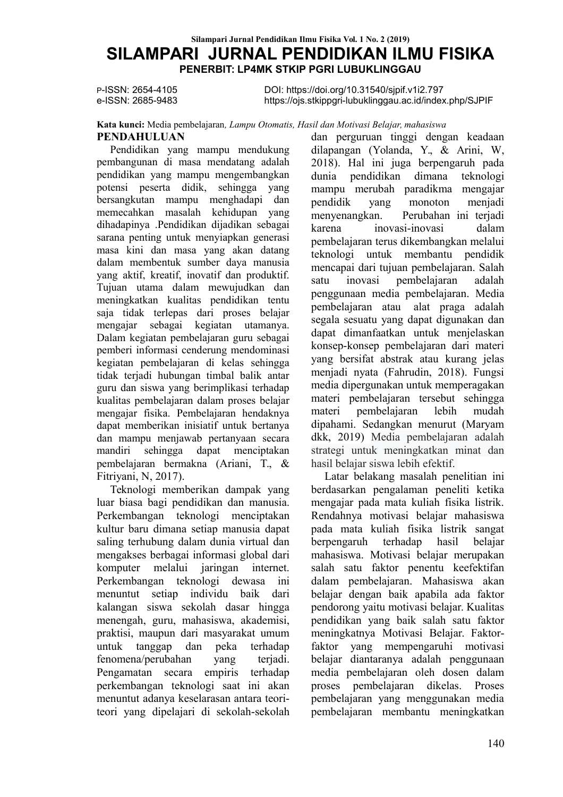P-ISSN: 2654-4105 e-ISSN: 2685-9483

DOI: https://doi.org/10.31540/sipif.v1i2.797 https://ois.stkippari-lubuklinggau.ac.id/index.php/SJPIF

#### Kata kunci: Media pembelajaran, Lampu Otomatis, Hasil dan Motivasi Belajar, mahasiswa **PENDAHULUAN**

#### Pendidikan yang mampu mendukung pembangunan di masa mendatang adalah pendidikan yang mampu mengembangkan potensi peserta didik, sehingga yang bersangkutan mampu menghadapi dan memecahkan masalah kehidupan yang dihadapinya .Pendidikan dijadikan sebagai sarana penting untuk menyiapkan generasi masa kini dan masa yang akan datang dalam membentuk sumber daya manusia vang aktif, kreatif, inovatif dan produktif, Tujuan utama dalam mewujudkan dan meningkatkan kualitas pendidikan tentu saja tidak terlepas dari proses belajar mengajar sebagai kegiatan utamanya. Dalam kegiatan pembelajaran guru sebagai pemberi informasi cenderung mendominasi kegiatan pembelajaran di kelas sehingga tidak terjadi hubungan timbal balik antar guru dan siswa yang berimplikasi terhadap kualitas pembelajaran dalam proses belajar mengajar fisika. Pembelajaran hendaknya dapat memberikan inisiatif untuk bertanya dan mampu menjawab pertanyaan secara sehingga dapat menciptakan mandiri pembelajaran bermakna (Ariani, T., & Fitriyani, N. 2017).

Teknologi memberikan dampak yang luar biasa bagi pendidikan dan manusia. Perkembangan teknologi menciptakan kultur baru dimana setiap manusia dapat saling terhubung dalam dunia virtual dan mengakses berbagai informasi global dari melalui komputer iaringan internet. Perkembangan teknologi dewasa ini menuntut setiap individu baik dari kalangan siswa sekolah dasar hingga menengah, guru, mahasiswa, akademisi, praktisi, maupun dari masyarakat umum untuk tanggap dan peka terhadap fenomena/perubahan vang teriadi Pengamatan secara empiris terhadap perkembangan teknologi saat ini akan menuntut adanya keselarasan antara teoriteori vang dipelajari di sekolah-sekolah

dan perguruan tinggi dengan keadaan dilapangan (Yolanda, Y., & Arini, W. 2018). Hal ini juga berpengaruh pada pendidikan dimana teknologi dunia mampu merubah paradikma mengajar pendidik vang monoton menjadi menyenangkan. Perubahan ini teriadi karena inovasi-inovasi dalam pembelajaran terus dikembangkan melalui teknologi untuk membantu pendidik mencapai dari tujuan pembelajaran. Salah satu inovasi pembelajaran adalah penggunaan media pembelajaran. Media pembelajaran atau alat praga adalah segala sesuatu yang dapat digunakan dan dapat dimanfaatkan untuk menjelaskan konsep-konsep pembelajaran dari materi vang bersifat abstrak atau kurang jelas menjadi nyata (Fahrudin, 2018). Fungsi media dipergunakan untuk memperagakan materi pembelajaran tersebut sehingga pembelajaran lebih mudah materi dipahami. Sedangkan menurut (Maryam dkk, 2019) Media pembelajaran adalah strategi untuk meningkatkan minat dan hasil belajar siswa lebih efektif.

Latar belakang masalah penelitian ini berdasarkan pengalaman peneliti ketika mengajar pada mata kuliah fisika listrik. Rendahnya motivasi belajar mahasiswa pada mata kuliah fisika listrik sangat berpengaruh terhadap hasil belaiar mahasiswa. Motivasi belajar merupakan salah satu faktor penentu keefektifan dalam pembelajaran. Mahasiswa akan belajar dengan baik apabila ada faktor pendorong yaitu motivasi belajar. Kualitas pendidikan yang baik salah satu faktor meningkatnya Motivasi Belajar. Faktorfaktor yang mempengaruhi motivasi belajar diantaranya adalah penggunaan media pembelajaran oleh dosen dalam pembelajaran dikelas. proses Proses pembelajaran yang menggunakan media nembelajaran membantu meningkatkan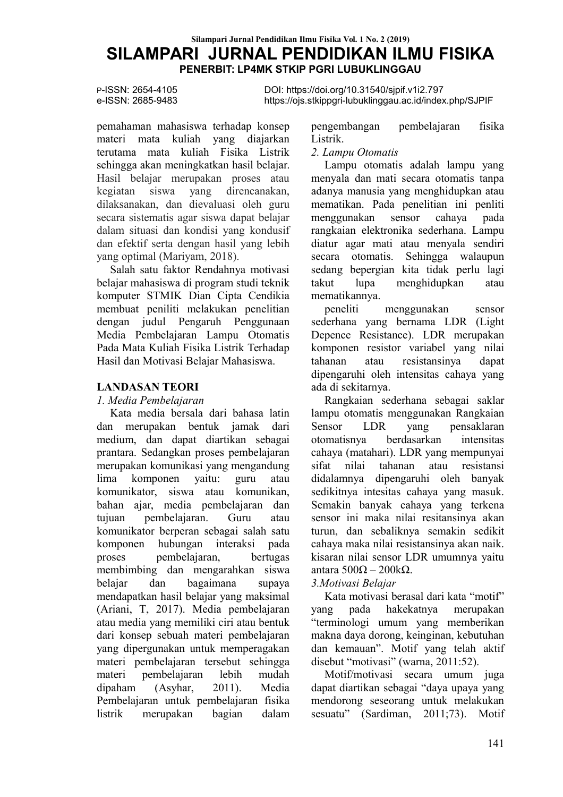P-ISSN: 2654-4105 e-ISSN: 2685-9483

DOI: https://doi.org/10.31540/sipif.v1i2.797 https://ois.stkippari-lubuklinggau.ac.id/index.php/SJPIF

pemahaman mahasiswa terhadap konsep materi mata kuliah yang diajarkan terutama mata kuliah Fisika Listrik sehingga akan meningkatkan hasil belaiar. Hasil belajar merupakan proses atau siswa yang direncanakan. kegiatan dilaksanakan, dan dievaluasi oleh guru secara sistematis agar siswa dapat belajar dalam situasi dan kondisi yang kondusif dan efektif serta dengan hasil yang lebih vang optimal (Mariyam, 2018).

Salah satu faktor Rendahnya motivasi belajar mahasiswa di program studi teknik komputer STMIK Dian Cipta Cendikia membuat peniliti melakukan penelitian dengan judul Pengaruh Penggunaan Media Pembelajaran Lampu Otomatis Pada Mata Kuliah Fisika Listrik Terhadap Hasil dan Motivasi Belajar Mahasiswa.

### **LANDASAN TEORI**

#### 1. Media Pembelajaran

Kata media bersala dari bahasa latin dan merupakan bentuk jamak dari medium, dan dapat diartikan sebagai prantara. Sedangkan proses pembelajaran merupakan komunikasi yang mengandung lima komponen vaitu: guru atau komunikator, siswa atau komunikan, bahan ajar, media pembelajaran dan pembelajaran. tuiuan Guru atau komunikator berperan sebagai salah satu komponen hubungan interaksi pada pembelajaran, proses bertugas membimbing dan mengarahkan siswa dan bagaimana belajar supaya mendapatkan hasil belajar yang maksimal (Ariani, T, 2017). Media pembelajaran atau media yang memiliki ciri atau bentuk dari konsep sebuah materi pembelajaran vang dipergunakan untuk memperagakan materi pembelajaran tersebut sehingga materi pembelajaran lebih mudah (Asyhar, dipaham  $2011$ ). Media Pembelajaran untuk pembelajaran fisika listrik merupakan bagian dalam pengembangan pembelajaran fisika Listrik.

### 2. Lampu Otomatis

Lampu otomatis adalah lampu yang menyala dan mati secara otomatis tanpa adanya manusia yang menghidupkan atau mematikan. Pada penelitian ini penliti menggunakan sensor cahava pada rangkaian elektronika sederhana. Lampu diatur agar mati atau menyala sendiri otomatis. Sehingga walaupun secara sedang bepergian kita tidak perlu lagi takut lupa menghidupkan atau mematikannya.

peneliti menggunakan sensor sederhana vang bernama LDR (Light Depence Resistance). LDR merupakan komponen resistor variabel vang nilai resistansinya tahanan atau dapat dipengaruhi oleh intensitas cahava vang ada di sekitarnya.

Rangkaian sederhana sebagai saklar lampu otomatis menggunakan Rangkaian Sensor **LDR** vang pensaklaran otomatisnya berdasarkan intensitas cahaya (matahari). LDR yang mempunyai sifat nilai tahanan atau resistansi didalamnya dipengaruhi oleh banyak sedikitnya intesitas cahaya yang masuk. Semakin banyak cahaya yang terkena sensor ini maka nilai resitansinya akan turun, dan sebaliknya semakin sedikit cahaya maka nilai resistansinya akan naik. kisaran nilai sensor LDR umumnya yaitu antara  $500\Omega - 200k\Omega$ .

### 3. Motivasi Belajar

Kata motivasi berasal dari kata "motif" hakekatnya pada merupakan yang "terminologi umum yang memberikan makna daya dorong, keinginan, kebutuhan dan kemauan". Motif yang telah aktif disebut "motivasi" (warna, 2011:52).

Motif/motivasi secara umum juga dapat diartikan sebagai "daya upaya yang mendorong seseorang untuk melakukan sesuatu" (Sardiman, 2011;73). Motif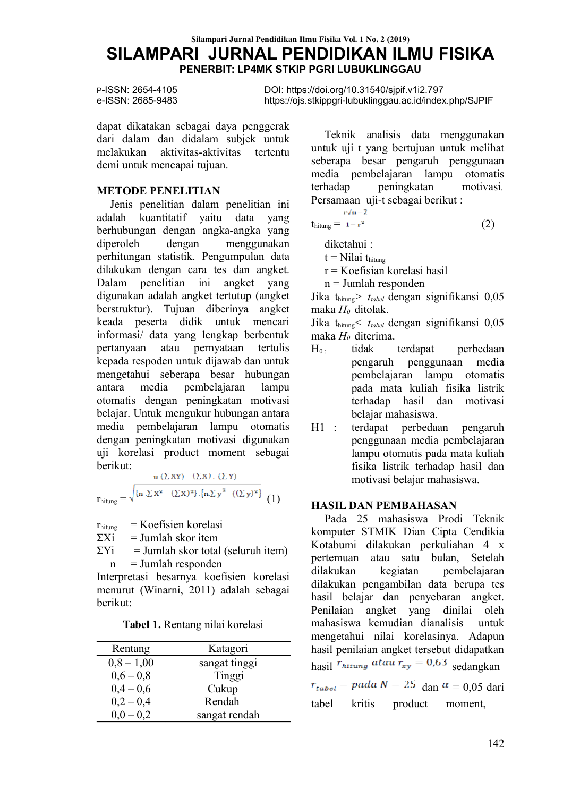P-ISSN: 2654-4105 e-ISSN: 2685-9483

DOI: https://doi.org/10.31540/sjpif.v1i2.797 https://ois.stkippari-lubuklinggau.ac.id/index.php/SJPIF

dapat dikatakan sebagai daya penggerak dari dalam dan didalam subjek untuk melakukan aktivitas-aktivitas tertentu demi untuk mencapai tujuan.

### **METODE PENELITIAN**

Jenis penelitian dalam penelitian ini kuantitatif yaitu data yang adalah berhubungan dengan angka-angka yang diperoleh dengan menggunakan perhitungan statistik. Pengumpulan data dilakukan dengan cara tes dan angket. Dalam penelitian ini angket yang digunakan adalah angket tertutup (angket berstruktur). Tujuan diberinya angket keada peserta didik untuk mencari informasi/ data yang lengkap berbentuk atau pernyataan pertanyaan tertulis kepada respoden untuk dijawab dan untuk mengetahui seberapa besar hubungan antara media pembelajaran lampu otomatis dengan peningkatan motivasi belajar. Untuk mengukur hubungan antara media pembelajaran lampu otomatis dengan peningkatan motivasi digunakan uji korelasi product moment sebagai herikut<sup>.</sup>

$$
r_{\text{hitung}} = \frac{\frac{n (\Sigma XY) - (\Sigma X) \cdot (\Sigma Y)}{\sqrt{\left\{n \cdot \Sigma X^2 - (\Sigma X)^2\right\} \cdot \left\{n \cdot \Sigma y^2 - (\Sigma y)^2\right\}}}{\left(1\right)^2}
$$

 $=$  Koefisien korelasi  $r_{\text{hitung}}$ 

 $=$  Jumlah skor item  $\Sigma$ Xi

 $\Sigma$ Yi  $=$  Jumlah skor total (seluruh item)  $=$  Jumlah responden  $\mathbf{n}$ 

Interpretasi besarnya koefisien korelasi menurut (Winarni, 2011) adalah sebagai berikut:

| Tabel 1. Rentang nilai korelasi |  |
|---------------------------------|--|
|---------------------------------|--|

| Rentang      | Katagori      |
|--------------|---------------|
| $0,8 - 1,00$ | sangat tinggi |
| $0,6-0,8$    | Tinggi        |
| $0,4-0,6$    | Cukup         |
| $0,2 - 0,4$  | Rendah        |
| $0.0 - 0.2$  | sangat rendah |

Teknik analisis data menggunakan untuk uji t yang bertujuan untuk melihat seberapa besar pengaruh penggunaan media pembelajaran lampu otomatis peningkatan terhadap motivasi. Persamaan uji-t sebagai berikut:

$$
thitung = \frac{r\sqrt{n-2}}{1-r^2}
$$
 (2)

diketahui:

 $t = Nilai$  thing

 $r = K$ oefisian korelasi hasil

 $n = J$ umlah responden

Jika thitung>  $t_{\text{table}}$  dengan signifikansi 0,05 maka  $H_0$  ditolak.

Jika thitung  $t_{\text{tabel}}$  dengan signifikansi 0,05 maka  $H_0$  diterima.

- tidak terdapat  $H_0$ . perbedaan pengaruh penggunaan media pembelajaran lampu otomatis pada mata kuliah fisika listrik terhadap hasil dan motivasi belaiar mahasiswa.
- $H1$ : terdapat perbedaan pengaruh penggunaan media pembelajaran lampu otomatis pada mata kuliah fisika listrik terhadap hasil dan motivasi belajar mahasiswa.

### **HASIL DAN PEMBAHASAN**

Pada 25 mahasiswa Prodi Teknik komputer STMIK Dian Cipta Cendikia Kotabumi dilakukan perkuliahan 4 x pertemuan atau satu bulan Setelah dilakukan kegiatan pembelajaran dilakukan pengambilan data berupa tes hasil belajar dan penyebaran angket. Penilaian angket yang dinilai oleh mahasiswa kemudian dianalisis untuk mengetahui nilai korelasinya. Adapun hasil penilaian angket tersebut didapatkan hasil  $r_{hitung}$  atau  $r_{xy} = 0.63$  sedangkan  $r_{\text{radol}} =$  pada  $N = 25$  dan  $\alpha = 0.05$  dari tabel kritis product moment.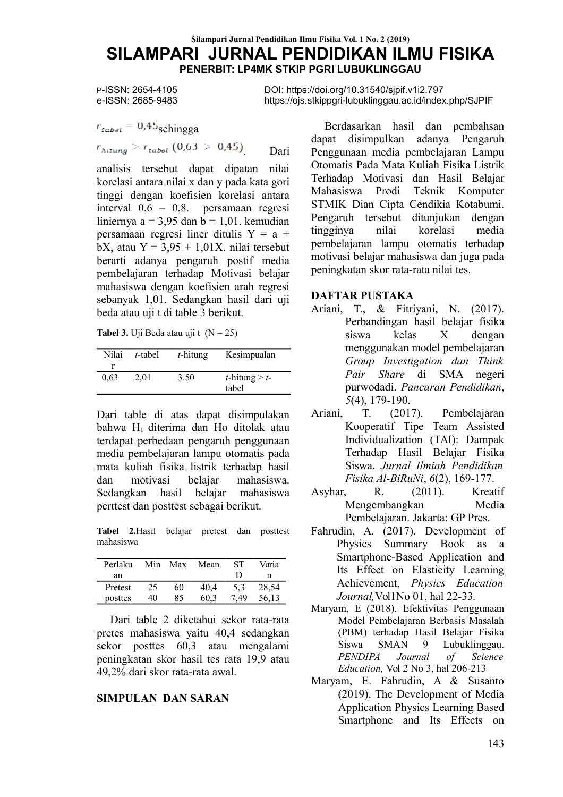P-ISSN: 2654-4105 e-ISSN: 2685-9483

 $r_{\text{tabel}} = 0.45$ sehingga  $r_{hitung} > r_{tabel} (0.63 > 0.45)$ Dari

analisis tersebut dapat dipatan nilai korelasi antara nilai x dan y pada kata gori tinggi dengan koefisien korelasi antara interval  $0.6 - 0.8$ . persamaan regresi liniernya a = 3,95 dan b = 1,01. kemudian persamaan regresi liner ditulis  $Y = a +$ bX, atau  $Y = 3.95 + 1.01X$ . nilai tersebut berarti adanya pengaruh postif media pembelajaran terhadap Motivasi belajar mahasiswa dengan koefisien arah regresi sebanyak 1.01. Sedangkan hasil dari uji beda atau uji t di table 3 berikut.

**Tabel 3.** Uji Beda atau uji t  $(N = 25)$ 

| Nilai | t-tabel | $t$ -hitung | Kesimpualan                       |
|-------|---------|-------------|-----------------------------------|
|       |         |             |                                   |
| 0.63  | 2.01    | 3.50        | <i>t</i> -hitung $> t$ -<br>tabel |

Dari table di atas dapat disimpulakan bahwa H<sub>1</sub> diterima dan H<sub>0</sub> ditolak atau terdapat perbedaan pengaruh penggunaan media pembelajaran lampu otomatis pada mata kuliah fisika listrik terhadap hasil motivasi belaiar mahasiswa dan Sedangkan hasil belaiar mahasiswa perttest dan posttest sebagai berikut.

Tabel 2. Hasil belajar pretest dan posttest mahasiswa

| Perlaku | Min | Max | Mean | SТ  | Varia |
|---------|-----|-----|------|-----|-------|
| an      |     |     |      |     | n     |
| Pretest | 25  | 60  | 40.4 | 5,3 | 28,54 |
| posttes | 40  | 85  | 60.3 | 49  | 56,13 |

Dari table 2 diketahui sekor rata-rata pretes mahasiswa yaitu 40,4 sedangkan sekor posttes 60,3 atau mengalami peningkatan skor hasil tes rata 19,9 atau 49.2% dari skor rata-rata awal.

### **SIMPULAN DAN SARAN**

DOI: https://doi.org/10.31540/sjpif.v1i2.797 https://ois.stkippgri-lubuklinggau.ac.id/index.php/SJPIF

> Berdasarkan hasil dan pembahsan dapat disimpulkan adanya Pengaruh Penggunaan media pembelajaran Lampu Otomatis Pada Mata Kuliah Fisika Listrik Terhadap Motivasi dan Hasil Belajar Mahasiswa Prodi Teknik Komputer STMIK Dian Cipta Cendikia Kotabumi. Pengaruh tersebut ditunjukan dengan korelasi tingginya nilai media pembelajaran lampu otomatis terhadap motivasi belajar mahasiswa dan juga pada peningkatan skor rata-rata nilai tes.

#### **DAFTAR PUSTAKA**

- Ariani, T., & Fitrivani, N. (2017). Perbandingan hasil belajar fisika kelas  $\mathbf{X}$ siswa dengan menggunakan model pembelajaran Group Investigation dan Think Pair Share di SMA negeri purwodadi. Pancaran Pendidikan,  $5(4)$ , 179-190.
- T.  $(2017).$ Pembelajaran Ariani, Kooperatif Tipe Team Assisted Individualization (TAI): Dampak Terhadap Hasil Belajar Fisika Siswa Jurnal Ilmiah Pendidikan Fisika Al-BiRuNi, 6(2), 169-177.
- $(2011).$ Kreatif Asyhar,  $R_{\odot}$ Mengembangkan Media Pembelajaran. Jakarta: GP Pres.
- Fahrudin, A. (2017). Development of Physics Summary Book as a Smartphone-Based Application and Its Effect on Elasticity Learning Achievement, Physics Education Journal, Vol1No 01, hal 22-33.
- Marvam, E (2018). Efektivitas Penggunaan Model Pembelajaran Berbasis Masalah (PBM) terhadap Hasil Belajar Fisika Siswa **SMAN** Lubuklinggau. 9 **PENDIPA** Journal  $\sigma f$ Science Education, Vol 2 No 3, hal 206-213
- Maryam, E. Fahrudin, A & Susanto (2019). The Development of Media **Application Physics Learning Based** Smartphone and Its Effects on